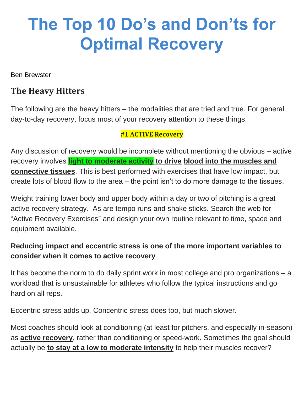# **The Top 10 Do's and Don'ts for Optimal Recovery**

Ben Brewster

## **The Heavy Hitters**

The following are the heavy hitters – the modalities that are tried and true. For general day-to-day recovery, focus most of your recovery attention to these things.

#### **#1 ACTIVE Recovery**

Any discussion of recovery would be incomplete without mentioning the obvious – active recovery involves **light to moderate activity to drive blood into the muscles and connective tissues**. This is best performed with exercises that have low impact, but create lots of blood flow to the area – the point isn't to do more damage to the tissues.

Weight training lower body and upper body within a day or two of pitching is a great active recovery strategy. As are tempo runs and shake sticks. Search the web for "Active Recovery Exercises" and design your own routine relevant to time, space and equipment available.

### **Reducing impact and eccentric stress is one of the more important variables to consider when it comes to active recovery**

It has become the norm to do daily sprint work in most college and pro organizations – a workload that is unsustainable for athletes who follow the typical instructions and go hard on all reps.

Eccentric stress adds up. Concentric stress does too, but much slower.

Most coaches should look at conditioning (at least for pitchers, and especially in-season) as **active recovery**, rather than conditioning or speed-work. Sometimes the goal should actually be **to stay at a low to moderate intensity** to help their muscles recover?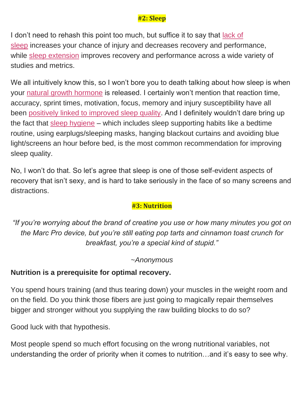#### **#2: Sleep**

I don't need to rehash this point too much, but suffice it to say that [lack of](https://www.academia.edu/24788318/Chronic_Lack_of_Sleep_is_Associated_With_Increased_Sports_Injuries_in_Adolescent_Athletes)  [sleep](https://www.academia.edu/24788318/Chronic_Lack_of_Sleep_is_Associated_With_Increased_Sports_Injuries_in_Adolescent_Athletes) increases your chance of injury and decreases recovery and performance, while [sleep extension](https://www.ncbi.nlm.nih.gov/pmc/articles/PMC3119836/) improves recovery and performance across a wide variety of studies and metrics.

We all intuitively know this, so I won't bore you to death talking about how sleep is when your [natural growth hormone](https://www.ncbi.nlm.nih.gov/pmc/articles/PMC297368/) is released. I certainly won't mention that reaction time, accuracy, sprint times, motivation, focus, memory and injury susceptibility have all been [positively linked to improved sleep quality.](https://www.ncbi.nlm.nih.gov/pmc/articles/PMC3119836/) And I definitely wouldn't dare bring up the fact that [sleep hygiene](https://www.ncbi.nlm.nih.gov/pmc/articles/PMC4400203/) – which includes sleep supporting habits like a bedtime routine, using earplugs/sleeping masks, hanging blackout curtains and avoiding blue light/screens an hour before bed, is the most common recommendation for improving sleep quality.

No, I won't do that. So let's agree that sleep is one of those self-evident aspects of recovery that isn't sexy, and is hard to take seriously in the face of so many screens and distractions.

#### **#3: Nutrition**

*"If you're worrying about the brand of creatine you use or how many minutes you got on the Marc Pro device, but you're still eating pop tarts and cinnamon toast crunch for breakfast, you're a special kind of stupid."*

#### *~Anonymous*

#### **Nutrition is a prerequisite for optimal recovery.**

You spend hours training (and thus tearing down) your muscles in the weight room and on the field. Do you think those fibers are just going to magically repair themselves bigger and stronger without you supplying the raw building blocks to do so?

Good luck with that hypothesis.

Most people spend so much effort focusing on the wrong nutritional variables, not understanding the order of priority when it comes to nutrition…and it's easy to see why.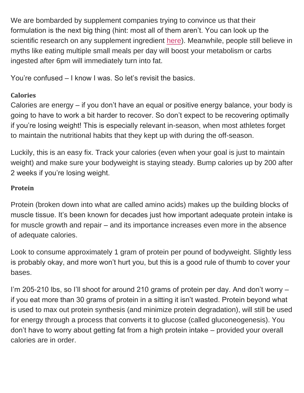We are bombarded by supplement companies trying to convince us that their formulation is the next big thing (hint: most all of them aren't. You can look up the scientific research on any supplement ingredient [here\)](https://examine.com/). Meanwhile, people still believe in myths like eating multiple small meals per day will boost your metabolism or carbs ingested after 6pm will immediately turn into fat.

You're confused – I know I was. So let's revisit the basics.

#### **Calories**

Calories are energy – if you don't have an equal or positive energy balance, your body is going to have to work a bit harder to recover. So don't expect to be recovering optimally if you're losing weight! This is especially relevant in-season, when most athletes forget to maintain the nutritional habits that they kept up with during the off-season.

Luckily, this is an easy fix. Track your calories (even when your goal is just to maintain weight) and make sure your bodyweight is staying steady. Bump calories up by 200 after 2 weeks if you're losing weight.

#### **Protein**

Protein (broken down into what are called amino acids) makes up the building blocks of muscle tissue. It's been known for decades just how important adequate protein intake is for muscle growth and repair – and its importance increases even more in the absence of adequate calories.

Look to consume approximately 1 gram of protein per pound of bodyweight. Slightly less is probably okay, and more won't hurt you, but this is a good rule of thumb to cover your bases.

I'm 205-210 lbs, so I'll shoot for around 210 grams of protein per day. And don't worry – if you eat more than 30 grams of protein in a sitting it isn't wasted. Protein beyond what is used to max out protein synthesis (and minimize protein degradation), will still be used for energy through a process that converts it to glucose (called gluconeogenesis). You don't have to worry about getting fat from a high protein intake – provided your overall calories are in order.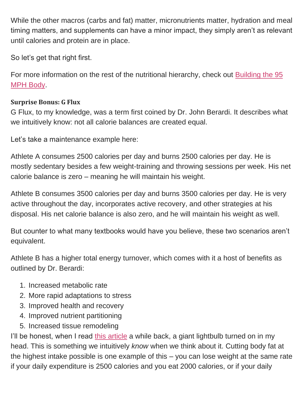While the other macros (carbs and fat) matter, micronutrients matter, hydration and meal timing matters, and supplements can have a minor impact, they simply aren't as relevant until calories and protein are in place.

So let's get that right first.

For more information on the rest of the nutritional hierarchy, check out [Building the 95](https://treadathletics.com/95-mph-body)  [MPH Body.](https://treadathletics.com/95-mph-body)

#### **Surprise Bonus: G Flux**

G Flux, to my knowledge, was a term first coined by Dr. John Berardi. It describes what we intuitively know: not all calorie balances are created equal.

Let's take a maintenance example here:

Athlete A consumes 2500 calories per day and burns 2500 calories per day. He is mostly sedentary besides a few weight-training and throwing sessions per week. His net calorie balance is zero – meaning he will maintain his weight.

Athlete B consumes 3500 calories per day and burns 3500 calories per day. He is very active throughout the day, incorporates active recovery, and other strategies at his disposal. His net calorie balance is also zero, and he will maintain his weight as well.

But counter to what many textbooks would have you believe, these two scenarios aren't equivalent.

Athlete B has a higher total energy turnover, which comes with it a host of benefits as outlined by Dr. Berardi:

- 1. Increased metabolic rate
- 2. More rapid adaptations to stress
- 3. Improved health and recovery
- 4. Improved nutrient partitioning
- 5. Increased tissue remodeling

I'll be honest, when I read [this article](https://www.precisionnutrition.com/all-about-g-flux) a while back, a giant lightbulb turned on in my head. This is something we intuitively *know* when we think about it. Cutting body fat at the highest intake possible is one example of this – you can lose weight at the same rate if your daily expenditure is 2500 calories and you eat 2000 calories, or if your daily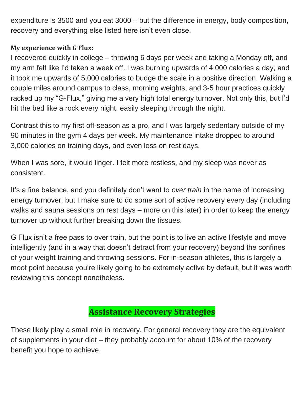expenditure is 3500 and you eat 3000 – but the difference in energy, body composition, recovery and everything else listed here isn't even close.

#### **My experience with G Flux:**

I recovered quickly in college – throwing 6 days per week and taking a Monday off, and my arm felt like I'd taken a week off. I was burning upwards of 4,000 calories a day, and it took me upwards of 5,000 calories to budge the scale in a positive direction. Walking a couple miles around campus to class, morning weights, and 3-5 hour practices quickly racked up my "G-Flux," giving me a very high total energy turnover. Not only this, but I'd hit the bed like a rock every night, easily sleeping through the night.

Contrast this to my first off-season as a pro, and I was largely sedentary outside of my 90 minutes in the gym 4 days per week. My maintenance intake dropped to around 3,000 calories on training days, and even less on rest days.

When I was sore, it would linger. I felt more restless, and my sleep was never as consistent.

It's a fine balance, and you definitely don't want to *over train* in the name of increasing energy turnover, but I make sure to do some sort of active recovery every day (including walks and sauna sessions on rest days – more on this later) in order to keep the energy turnover up without further breaking down the tissues.

G Flux isn't a free pass to over train, but the point is to live an active lifestyle and move intelligently (and in a way that doesn't detract from your recovery) beyond the confines of your weight training and throwing sessions. For in-season athletes, this is largely a moot point because you're likely going to be extremely active by default, but it was worth reviewing this concept nonetheless.

## **Assistance Recovery Strategies**

These likely play a small role in recovery. For general recovery they are the equivalent of supplements in your diet – they probably account for about 10% of the recovery benefit you hope to achieve.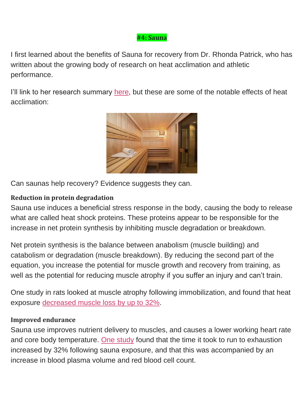#### **#4: Sauna**

I first learned about the benefits of Sauna for recovery from Dr. Rhonda Patrick, who has written about the growing body of research on heat acclimation and athletic performance.

I'll link to her research summary [here,](https://www.foundmyfitness.com/reports/sauna-report.pdf) but these are some of the notable effects of heat acclimation:



Can saunas help recovery? Evidence suggests they can.

#### **Reduction in protein degradation**

Sauna use induces a beneficial stress response in the body, causing the body to release what are called heat shock proteins. These proteins appear to be responsible for the increase in net protein synthesis by inhibiting muscle degradation or breakdown.

Net protein synthesis is the balance between anabolism (muscle building) and catabolism or degradation (muscle breakdown). By reducing the second part of the equation, you increase the potential for muscle growth and recovery from training, as well as the potential for reducing muscle atrophy if you suffer an injury and can't train.

One study in rats looked at muscle atrophy following immobilization, and found that heat exposure [decreased muscle loss by up to 32%.](https://www.ncbi.nlm.nih.gov/pubmed/15761186)

#### **Improved endurance**

Sauna use improves nutrient delivery to muscles, and causes a lower working heart rate and core body temperature. [One study](https://www.ncbi.nlm.nih.gov/pubmed/16877041) found that the time it took to run to exhaustion increased by 32% following sauna exposure, and that this was accompanied by an increase in blood plasma volume and red blood cell count.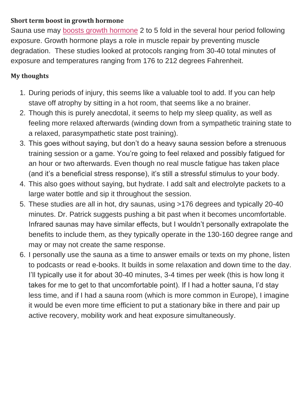#### **Short term boost in growth hormone**

Sauna use may [boosts growth hormone](https://www.ncbi.nlm.nih.gov/pubmed/2759081) 2 to 5 fold in the several hour period following exposure. Growth hormone plays a role in muscle repair by preventing muscle degradation. These studies looked at protocols ranging from 30-40 total minutes of exposure and temperatures ranging from 176 to 212 degrees Fahrenheit.

#### **My thoughts**

- 1. During periods of injury, this seems like a valuable tool to add. If you can help stave off atrophy by sitting in a hot room, that seems like a no brainer.
- 2. Though this is purely anecdotal, it seems to help my sleep quality, as well as feeling more relaxed afterwards (winding down from a sympathetic training state to a relaxed, parasympathetic state post training).
- 3. This goes without saying, but don't do a heavy sauna session before a strenuous training session or a game. You're going to feel relaxed and possibly fatigued for an hour or two afterwards. Even though no real muscle fatigue has taken place (and it's a beneficial stress response), it's still a stressful stimulus to your body.
- 4. This also goes without saying, but hydrate. I add salt and electrolyte packets to a large water bottle and sip it throughout the session.
- 5. These studies are all in hot, dry saunas, using >176 degrees and typically 20-40 minutes. Dr. Patrick suggests pushing a bit past when it becomes uncomfortable. Infrared saunas may have similar effects, but I wouldn't personally extrapolate the benefits to include them, as they typically operate in the 130-160 degree range and may or may not create the same response.
- 6. I personally use the sauna as a time to answer emails or texts on my phone, listen to podcasts or read e-books. It builds in some relaxation and down time to the day. I'll typically use it for about 30-40 minutes, 3-4 times per week (this is how long it takes for me to get to that uncomfortable point). If I had a hotter sauna, I'd stay less time, and if I had a sauna room (which is more common in Europe), I imagine it would be even more time efficient to put a stationary bike in there and pair up active recovery, mobility work and heat exposure simultaneously.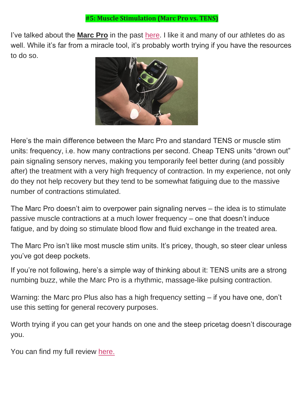I've talked about the **Marc Pro** in the past [here.](https://treadathletics.com/marc-pro-review/) I like it and many of our athletes do as well. While it's far from a miracle tool, it's probably worth trying if you have the resources to do so.



Here's the main difference between the Marc Pro and standard TENS or muscle stim units: frequency, i.e. how many contractions per second. Cheap TENS units "drown out" pain signaling sensory nerves, making you temporarily feel better during (and possibly after) the treatment with a very high frequency of contraction. In my experience, not only do they not help recovery but they tend to be somewhat fatiguing due to the massive number of contractions stimulated.

The Marc Pro doesn't aim to overpower pain signaling nerves – the idea is to stimulate passive muscle contractions at a much lower frequency – one that doesn't induce fatigue, and by doing so stimulate blood flow and fluid exchange in the treated area.

The Marc Pro isn't like most muscle stim units. It's pricey, though, so steer clear unless you've got deep pockets.

If you're not following, here's a simple way of thinking about it: TENS units are a strong numbing buzz, while the Marc Pro is a rhythmic, massage-like pulsing contraction.

Warning: the Marc pro Plus also has a high frequency setting – if you have one, don't use this setting for general recovery purposes.

Worth trying if you can get your hands on one and the steep pricetag doesn't discourage you.

You can find my full review [here.](https://treadathletics.com/marc-pro-review/)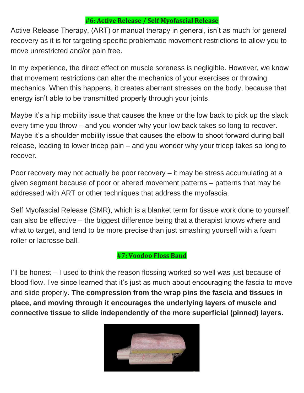#### **#6: Active Release / Self Myofascial Release**

Active Release Therapy, (ART) or manual therapy in general, isn't as much for general recovery as it is for targeting specific problematic movement restrictions to allow you to move unrestricted and/or pain free.

In my experience, the direct effect on muscle soreness is negligible. However, we know that movement restrictions can alter the mechanics of your exercises or throwing mechanics. When this happens, it creates aberrant stresses on the body, because that energy isn't able to be transmitted properly through your joints.

Maybe it's a hip mobility issue that causes the knee or the low back to pick up the slack every time you throw – and you wonder why your low back takes so long to recover. Maybe it's a shoulder mobility issue that causes the elbow to shoot forward during ball release, leading to lower tricep pain – and you wonder why your tricep takes so long to recover.

Poor recovery may not actually be poor recovery – it may be stress accumulating at a given segment because of poor or altered movement patterns – patterns that may be addressed with ART or other techniques that address the myofascia.

Self Myofascial Release (SMR), which is a blanket term for tissue work done to yourself, can also be effective – the biggest difference being that a therapist knows where and what to target, and tend to be more precise than just smashing yourself with a foam roller or lacrosse ball.

#### **#7: Voodoo Floss Band**

I'll be honest – I used to think the reason flossing worked so well was just because of blood flow. I've since learned that it's just as much about encouraging the fascia to move and slide properly. **The compression from the wrap pins the fascia and tissues in place, and moving through it encourages the underlying layers of muscle and connective tissue to slide independently of the more superficial (pinned) layers.**

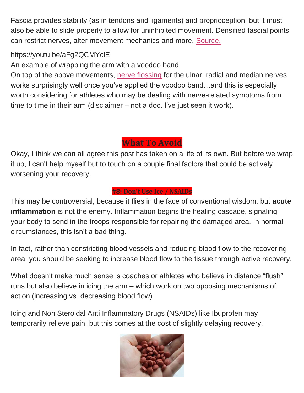Fascia provides stability (as in tendons and ligaments) and proprioception, but it must also be able to slide properly to allow for uninhibited movement. Densified fascial points can restrict nerves, alter movement mechanics and more. [Source.](https://www.youtube.com/watch?v=eW0lvOVKDxE)

#### https://youtu.be/aFg2QCMYclE

An example of wrapping the arm with a voodoo band.

On top of the above movements, [nerve flossing](https://www.youtube.com/watch?v=DjIwl333Bt0) for the ulnar, radial and median nerves works surprisingly well once you've applied the voodoo band…and this is especially worth considering for athletes who may be dealing with nerve-related symptoms from time to time in their arm (disclaimer – not a doc. I've just seen it work).

## **What To Avoid**

Okay, I think we can all agree this post has taken on a life of its own. But before we wrap it up, I can't help myself but to touch on a couple final factors that could be actively worsening your recovery.

#### **#8: Don't Use Ice / NSAIDs**

This may be controversial, because it flies in the face of conventional wisdom, but **acute inflammation** is not the enemy. Inflammation begins the healing cascade, signaling your body to send in the troops responsible for repairing the damaged area. In normal circumstances, this isn't a bad thing.

In fact, rather than constricting blood vessels and reducing blood flow to the recovering area, you should be seeking to increase blood flow to the tissue through active recovery.

What doesn't make much sense is coaches or athletes who believe in distance "flush" runs but also believe in icing the arm – which work on two opposing mechanisms of action (increasing vs. decreasing blood flow).

Icing and Non Steroidal Anti Inflammatory Drugs (NSAIDs) like Ibuprofen may temporarily relieve pain, but this comes at the cost of slightly delaying recovery.

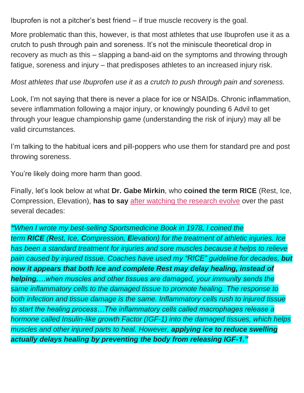Ibuprofen is not a pitcher's best friend – if true muscle recovery is the goal.

More problematic than this, however, is that most athletes that use Ibuprofen use it as a crutch to push through pain and soreness. It's not the miniscule theoretical drop in recovery as much as this – slapping a band-aid on the symptoms and throwing through fatigue, soreness and injury – that predisposes athletes to an increased injury risk.

#### *Most athletes that use Ibuprofen use it as a crutch to push through pain and soreness.*

Look, I'm not saying that there is never a place for ice or NSAIDs. Chronic inflammation, severe inflammation following a major injury, or knowingly pounding 6 Advil to get through your league championship game (understanding the risk of injury) may all be valid circumstances.

I'm talking to the habitual icers and pill-poppers who use them for standard pre and post throwing soreness.

You're likely doing more harm than good.

Finally, let's look below at what **Dr. Gabe Mirkin**, who **coined the term RICE** (Rest, Ice, Compression, Elevation), **has to say** [after watching the research evolve](http://www.drmirkin.com/fitness/why-ice-delays-recovery.html) over the past several decades:

*"When I wrote my best-selling Sportsmedicine Book in 1978, I coined the term RICE (Rest, Ice, Compression, Elevation) for the treatment of athletic injuries. Ice has been a standard treatment for injuries and sore muscles because it helps to relieve pain caused by injured tissue. Coaches have used my "RICE" guideline for decades, but now it appears that both Ice and complete Rest may delay healing, instead of helping.…when muscles and other tissues are damaged, your immunity sends the same inflammatory cells to the damaged tissue to promote healing. The response to both infection and tissue damage is the same. Inflammatory cells rush to injured tissue to start the healing process…The inflammatory cells called macrophages release a hormone called Insulin-like growth Factor (IGF-1) into the damaged tissues, which helps muscles and other injured parts to heal. However, applying ice to reduce swelling actually delays healing by preventing the body from releasing IGF-1."*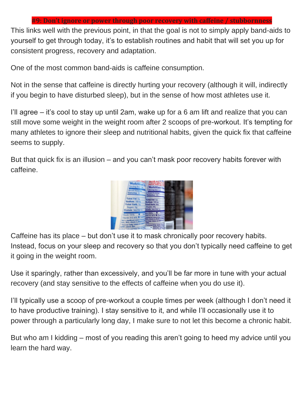#### **#9: Don't ignore or power through poor recovery with caffeine / stubbornness**

This links well with the previous point, in that the goal is not to simply apply band-aids to yourself to get through today, it's to establish routines and habit that will set you up for consistent progress, recovery and adaptation.

One of the most common band-aids is caffeine consumption.

Not in the sense that caffeine is directly hurting your recovery (although it will, indirectly if you begin to have disturbed sleep), but in the sense of how most athletes use it.

I'll agree – it's cool to stay up until 2am, wake up for a 6 am lift and realize that you can still move some weight in the weight room after 2 scoops of pre-workout. It's tempting for many athletes to ignore their sleep and nutritional habits, given the quick fix that caffeine seems to supply.

But that quick fix is an illusion – and you can't mask poor recovery habits forever with caffeine.



Caffeine has its place – but don't use it to mask chronically poor recovery habits. Instead, focus on your sleep and recovery so that you don't typically need caffeine to get it going in the weight room.

Use it sparingly, rather than excessively, and you'll be far more in tune with your actual recovery (and stay sensitive to the effects of caffeine when you do use it).

I'll typically use a scoop of pre-workout a couple times per week (although I don't need it to have productive training). I stay sensitive to it, and while I'll occasionally use it to power through a particularly long day, I make sure to not let this become a chronic habit.

But who am I kidding – most of you reading this aren't going to heed my advice until you learn the hard way.